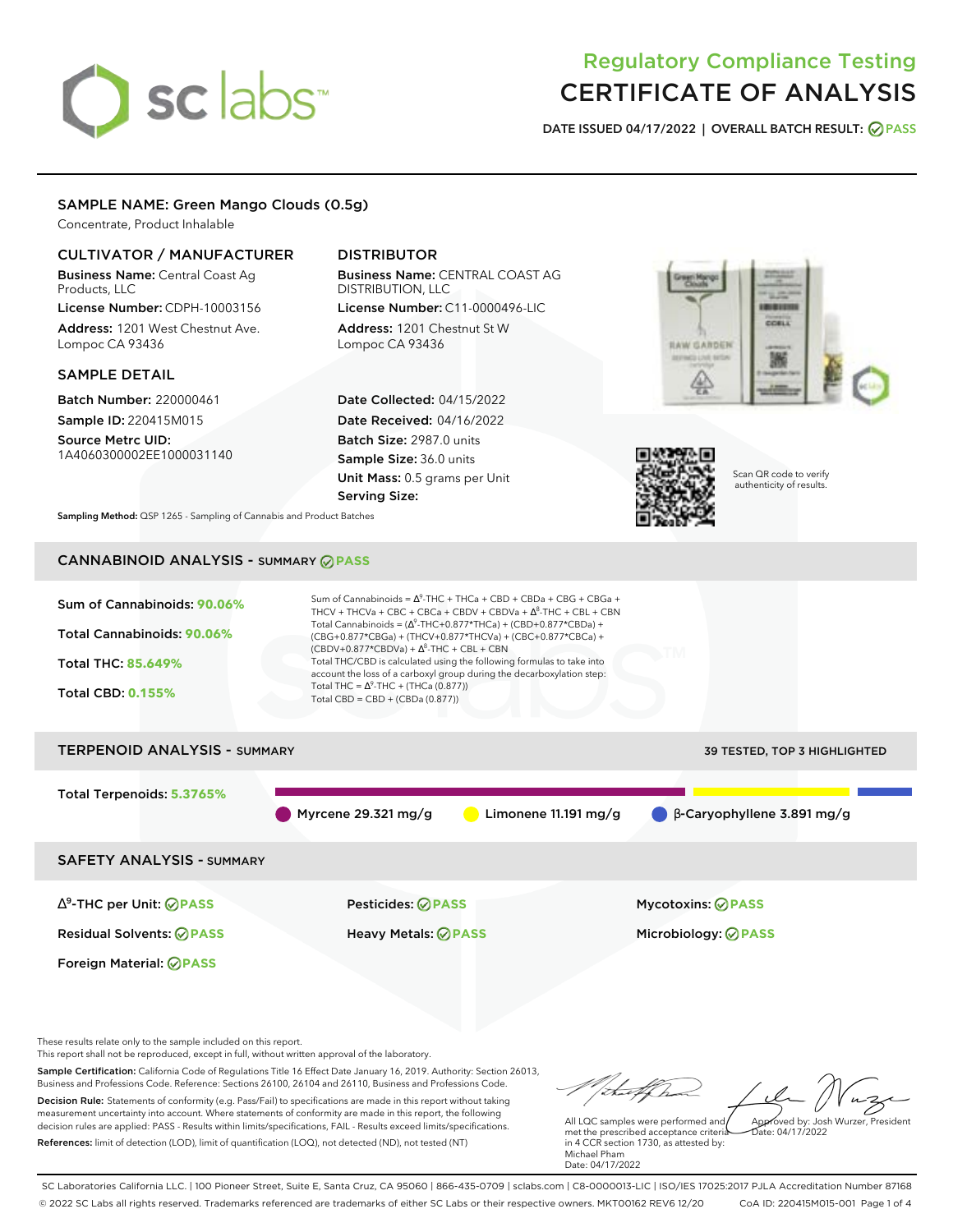# sclabs<sup>\*</sup>

# Regulatory Compliance Testing CERTIFICATE OF ANALYSIS

**DATE ISSUED 04/17/2022 | OVERALL BATCH RESULT: PASS**

# SAMPLE NAME: Green Mango Clouds (0.5g)

Concentrate, Product Inhalable

# CULTIVATOR / MANUFACTURER

Business Name: Central Coast Ag Products, LLC

License Number: CDPH-10003156 Address: 1201 West Chestnut Ave. Lompoc CA 93436

# SAMPLE DETAIL

Batch Number: 220000461 Sample ID: 220415M015

Source Metrc UID: 1A4060300002EE1000031140

# DISTRIBUTOR

Business Name: CENTRAL COAST AG DISTRIBUTION, LLC License Number: C11-0000496-LIC

Address: 1201 Chestnut St W Lompoc CA 93436

Date Collected: 04/15/2022 Date Received: 04/16/2022 Batch Size: 2987.0 units Sample Size: 36.0 units Unit Mass: 0.5 grams per Unit Serving Size:





Scan QR code to verify authenticity of results.

**Sampling Method:** QSP 1265 - Sampling of Cannabis and Product Batches

# CANNABINOID ANALYSIS - SUMMARY **PASS**



This report shall not be reproduced, except in full, without written approval of the laboratory.

Sample Certification: California Code of Regulations Title 16 Effect Date January 16, 2019. Authority: Section 26013, Business and Professions Code. Reference: Sections 26100, 26104 and 26110, Business and Professions Code. Decision Rule: Statements of conformity (e.g. Pass/Fail) to specifications are made in this report without taking measurement uncertainty into account. Where statements of conformity are made in this report, the following decision rules are applied: PASS - Results within limits/specifications, FAIL - Results exceed limits/specifications.

References: limit of detection (LOD), limit of quantification (LOQ), not detected (ND), not tested (NT)

Approved by: Josh Wurzer, President

Date: 04/17/2022

All LQC samples were performed and met the prescribed acceptance criteria in 4 CCR section 1730, as attested by: Michael Pham Date: 04/17/2022

SC Laboratories California LLC. | 100 Pioneer Street, Suite E, Santa Cruz, CA 95060 | 866-435-0709 | sclabs.com | C8-0000013-LIC | ISO/IES 17025:2017 PJLA Accreditation Number 87168 © 2022 SC Labs all rights reserved. Trademarks referenced are trademarks of either SC Labs or their respective owners. MKT00162 REV6 12/20 CoA ID: 220415M015-001 Page 1 of 4